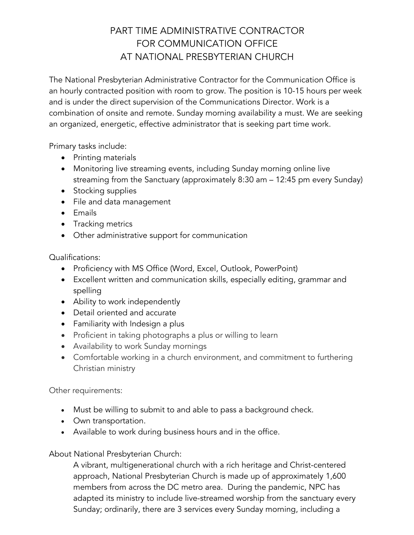## PART TIME ADMINISTRATIVE CONTRACTOR FOR COMMUNICATION OFFICE AT NATIONAL PRESBYTERIAN CHURCH

The National Presbyterian Administrative Contractor for the Communication Office is an hourly contracted position with room to grow. The position is 10-15 hours per week and is under the direct supervision of the Communications Director. Work is a combination of onsite and remote. Sunday morning availability a must. We are seeking an organized, energetic, effective administrator that is seeking part time work.

Primary tasks include:

- Printing materials
- Monitoring live streaming events, including Sunday morning online live streaming from the Sanctuary (approximately 8:30 am – 12:45 pm every Sunday)
- Stocking supplies
- File and data management
- Emails
- Tracking metrics
- Other administrative support for communication

Qualifications:

- Proficiency with MS Office (Word, Excel, Outlook, PowerPoint)
- Excellent written and communication skills, especially editing, grammar and spelling
- Ability to work independently
- Detail oriented and accurate
- Familiarity with Indesign a plus
- Proficient in taking photographs a plus or willing to learn
- Availability to work Sunday mornings
- Comfortable working in a church environment, and commitment to furthering Christian ministry

Other requirements:

- Must be willing to submit to and able to pass a background check.
- Own transportation.
- Available to work during business hours and in the office.

About National Presbyterian Church:

A vibrant, multigenerational church with a rich heritage and Christ-centered approach, National Presbyterian Church is made up of approximately 1,600 members from across the DC metro area. During the pandemic, NPC has adapted its ministry to include live-streamed worship from the sanctuary every Sunday; ordinarily, there are 3 services every Sunday morning, including a